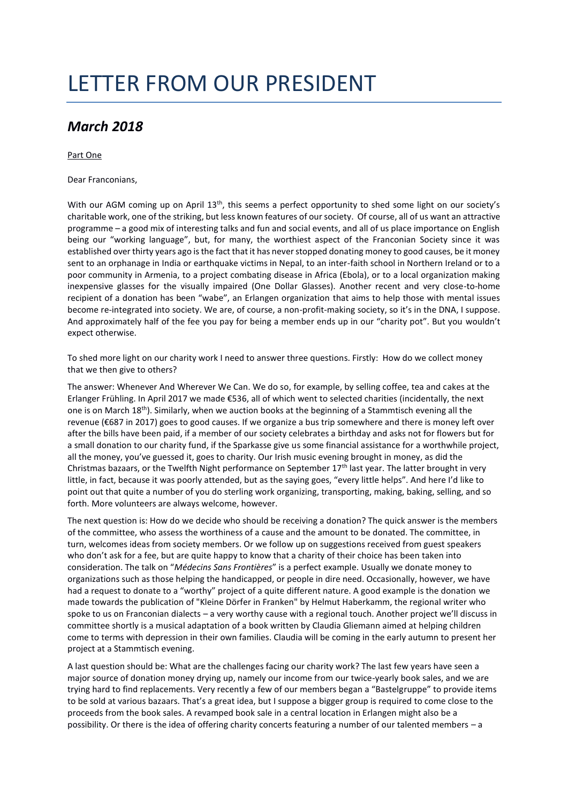# LETTER FROM OUR PRESIDENT

## *March 2018*

### Part One

Dear Franconians,

With our AGM coming up on April 13<sup>th</sup>, this seems a perfect opportunity to shed some light on our society's charitable work, one of the striking, but less known features of our society. Of course, all of us want an attractive programme – a good mix of interesting talks and fun and social events, and all of us place importance on English being our "working language", but, for many, the worthiest aspect of the Franconian Society since it was established over thirty years ago is the fact that it has never stopped donating money to good causes, be it money sent to an orphanage in India or earthquake victims in Nepal, to an inter-faith school in Northern Ireland or to a poor community in Armenia, to a project combating disease in Africa (Ebola), or to a local organization making inexpensive glasses for the visually impaired (One Dollar Glasses). Another recent and very close-to-home recipient of a donation has been "wabe", an Erlangen organization that aims to help those with mental issues become re-integrated into society. We are, of course, a non-profit-making society, so it's in the DNA, I suppose. And approximately half of the fee you pay for being a member ends up in our "charity pot". But you wouldn't expect otherwise.

To shed more light on our charity work I need to answer three questions. Firstly: How do we collect money that we then give to others?

The answer: Whenever And Wherever We Can. We do so, for example, by selling coffee, tea and cakes at the Erlanger Frühling. In April 2017 we made €536, all of which went to selected charities (incidentally, the next one is on March 18<sup>th</sup>). Similarly, when we auction books at the beginning of a Stammtisch evening all the revenue (€687 in 2017) goes to good causes. If we organize a bus trip somewhere and there is money left over after the bills have been paid, if a member of our society celebrates a birthday and asks not for flowers but for a small donation to our charity fund, if the Sparkasse give us some financial assistance for a worthwhile project, all the money, you've guessed it, goes to charity. Our Irish music evening brought in money, as did the Christmas bazaars, or the Twelfth Night performance on September 17th last year. The latter brought in very little, in fact, because it was poorly attended, but as the saying goes, "every little helps". And here I'd like to point out that quite a number of you do sterling work organizing, transporting, making, baking, selling, and so forth. More volunteers are always welcome, however.

The next question is: How do we decide who should be receiving a donation? The quick answer is the members of the committee, who assess the worthiness of a cause and the amount to be donated. The committee, in turn, welcomes ideas from society members. Or we follow up on suggestions received from guest speakers who don't ask for a fee, but are quite happy to know that a charity of their choice has been taken into consideration. The talk on "*Médecins Sans Frontières*" is a perfect example. Usually we donate money to organizations such as those helping the handicapped, or people in dire need. Occasionally, however, we have had a request to donate to a "worthy" project of a quite different nature. A good example is the donation we made towards the publication of "Kleine Dörfer in Franken" by Helmut Haberkamm, the regional writer who spoke to us on Franconian dialects – a very worthy cause with a regional touch. Another project we'll discuss in committee shortly is a musical adaptation of a book written by Claudia Gliemann aimed at helping children come to terms with depression in their own families. Claudia will be coming in the early autumn to present her project at a Stammtisch evening.

A last question should be: What are the challenges facing our charity work? The last few years have seen a major source of donation money drying up, namely our income from our twice-yearly book sales, and we are trying hard to find replacements. Very recently a few of our members began a "Bastelgruppe" to provide items to be sold at various bazaars. That's a great idea, but I suppose a bigger group is required to come close to the proceeds from the book sales. A revamped book sale in a central location in Erlangen might also be a possibility. Or there is the idea of offering charity concerts featuring a number of our talented members – a